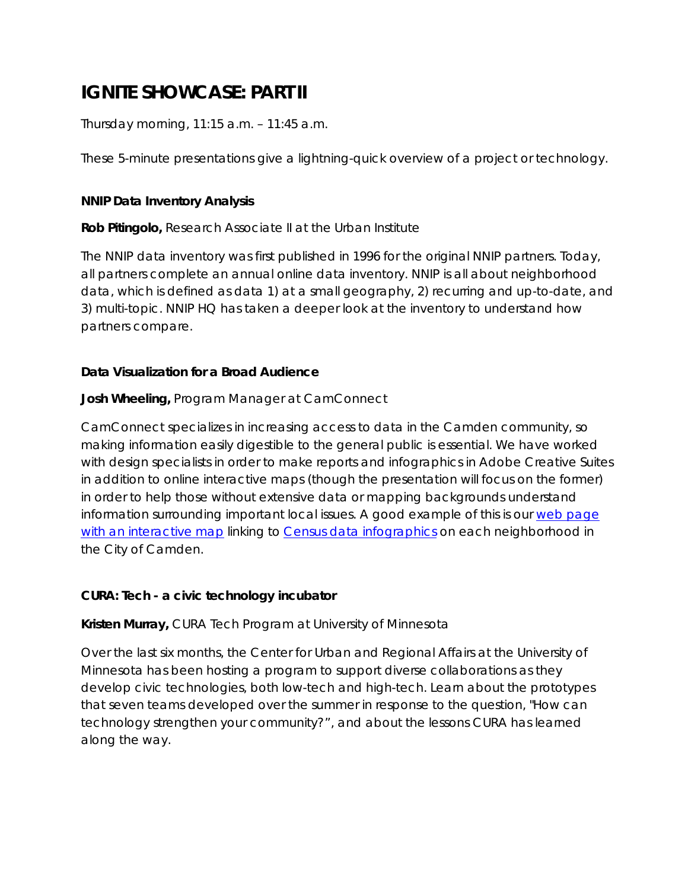# **IGNITE SHOWCASE: PART II**

Thursday morning, 11:15 a.m. – 11:45 a.m.

These 5-minute presentations give a lightning-quick overview of a project or technology.

#### **NNIP Data Inventory Analysis**

**Rob Pitingolo,** Research Associate II at the Urban Institute

The NNIP data inventory was first published in 1996 for the original NNIP partners. Today, all partners complete an annual online data inventory. NNIP is all about neighborhood data, which is defined as data 1) at a small geography, 2) recurring and up-to-date, and 3) multi-topic. NNIP HQ has taken a deeper look at the inventory to understand how partners compare.

# **Data Visualization for a Broad Audience**

# **Josh Wheeling,** Program Manager at CamConnect

CamConnect specializes in increasing access to data in the Camden community, so making information easily digestible to the general public is essential. We have worked with design specialists in order to make reports and infographics in Adobe Creative Suites in addition to online interactive maps (though the presentation will focus on the former) in order to help those without extensive data or mapping backgrounds understand information surrounding important local issues. A good example of this is our web page with an interactive map linking to Census data infographics on each neighborhood in the City of Camden.

#### **CURA: Tech - a civic technology incubator**

**Kristen Murray,** CURA Tech Program at University of Minnesota

Over the last six months, the Center for Urban and Regional Affairs at the University of Minnesota has been hosting a program to support diverse collaborations as they develop civic technologies, both low-tech and high-tech. Learn about the prototypes that seven teams developed over the summer in response to the question, "How can technology strengthen your community?", and about the lessons CURA has learned along the way.